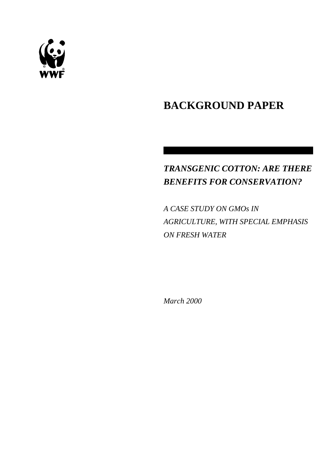

# **BACKGROUND PAPER**

# *TRANSGENIC COTTON: ARE THERE BENEFITS FOR CONSERVATION?*

*A CASE STUDY ON GMOs IN AGRICULTURE, WITH SPECIAL EMPHASIS ON FRESH WATER*

*March 2000*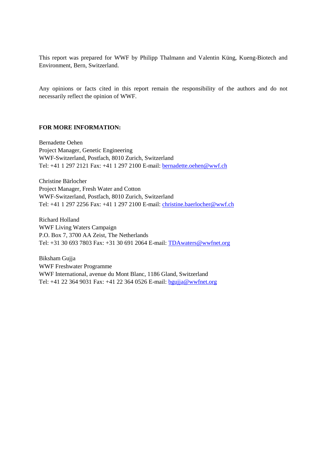This report was prepared for WWF by Philipp Thalmann and Valentin Küng, Kueng-Biotech and Environment, Bern, Switzerland.

Any opinions or facts cited in this report remain the responsibility of the authors and do not necessarily reflect the opinion of WWF.

#### **FOR MORE INFORMATION:**

Bernadette Oehen Project Manager, Genetic Engineering WWF-Switzerland, Postfach, 8010 Zurich, Switzerland Tel: +41 1 297 2121 Fax: +41 1 297 2100 E-mail: [bernadette.oehen@wwf.ch](mailto:bernadette.oehen@wwf.ch)

Christine Bärlocher Project Manager, Fresh Water and Cotton WWF-Switzerland, Postfach, 8010 Zurich, Switzerland Tel: +41 1 297 2256 Fax: +41 1 297 2100 E-mail: [christine.baerlocher@wwf.ch](mailto:christine.baerlocher@wwf.ch)

Richard Holland WWF Living Waters Campaign P.O. Box 7, 3700 AA Zeist, The Netherlands Tel: +31 30 693 7803 Fax: +31 30 691 2064 E-mail: [TDAwaters@wwfnet.org](mailto:TDAwaters@wwfnet.org)

Biksham Gujja WWF Freshwater Programme WWF International, avenue du Mont Blanc, 1186 Gland, Switzerland Tel: +41 22 364 9031 Fax: +41 22 364 0526 E-mail: [bgujja@wwfnet.org](mailto:bgujja@wwfnet.org)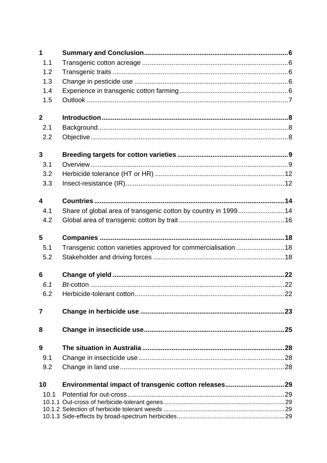| $\mathbf 1$             |                                                                 |     |
|-------------------------|-----------------------------------------------------------------|-----|
| 1.1                     |                                                                 |     |
| 1.2                     |                                                                 |     |
| 1.3                     |                                                                 |     |
| 1.4                     |                                                                 |     |
| 1.5                     |                                                                 |     |
| $\overline{2}$          |                                                                 |     |
| 2.1                     |                                                                 |     |
| 2.2                     |                                                                 |     |
| $\mathbf{3}$            |                                                                 |     |
| 3.1                     |                                                                 |     |
| 3.2                     |                                                                 |     |
| 3.3                     |                                                                 |     |
|                         |                                                                 |     |
| $\overline{\mathbf{4}}$ |                                                                 |     |
| 4.1                     | Share of global area of transgenic cotton by country in 1999 14 |     |
| 4.2                     |                                                                 |     |
|                         |                                                                 |     |
| 5                       |                                                                 |     |
| 5.1                     | Transgenic cotton varieties approved for commercialisation  18  |     |
| 5.2                     |                                                                 |     |
| 6                       |                                                                 |     |
| 6.1                     |                                                                 |     |
| 62                      | Herbicide-tolerant cotton                                       | .22 |
|                         |                                                                 |     |
| 7                       |                                                                 |     |
| 8                       |                                                                 |     |
| 9                       |                                                                 |     |
| 9.1                     |                                                                 |     |
| 9.2                     |                                                                 |     |
| 10                      |                                                                 |     |
| 10.1                    |                                                                 |     |
|                         |                                                                 |     |
|                         |                                                                 |     |
|                         |                                                                 |     |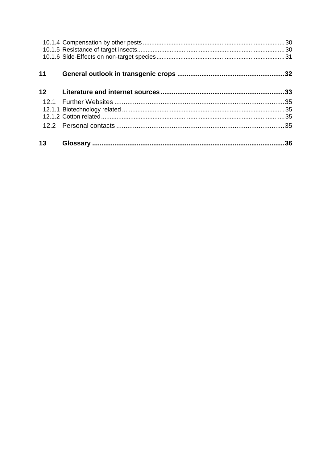| 11 | .32 |
|----|-----|
| 12 |     |
|    |     |
|    |     |
|    |     |
|    |     |
| 13 | .36 |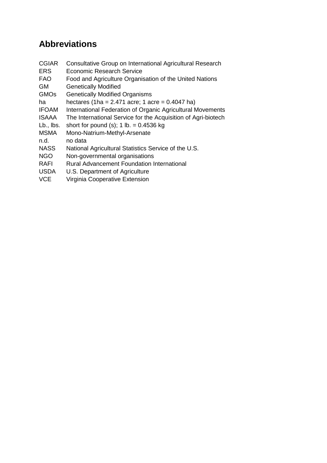# **Abbreviations**

- CGIAR Consultative Group on International Agricultural Research
- ERS Economic Research Service
- FAO Food and Agriculture Organisation of the United Nations
- GM Genetically Modified
- GMOs Genetically Modified Organisms
- ha hectares  $(1ha = 2.471 acre; 1 acre = 0.4047 ha)$
- IFOAM International Federation of Organic Agricultural Movements
- ISAAA The International Service for the Acquisition of Agri-biotech
- Lb., lbs. short for pound (s);  $1$  lb. = 0.4536 kg
- MSMA Mono-Natrium-Methyl-Arsenate
- n.d. no data
- NASS National Agricultural Statistics Service of the U.S.
- NGO Non-governmental organisations
- RAFI Rural Advancement Foundation International
- USDA U.S. Department of Agriculture
- VCE Virginia Cooperative Extension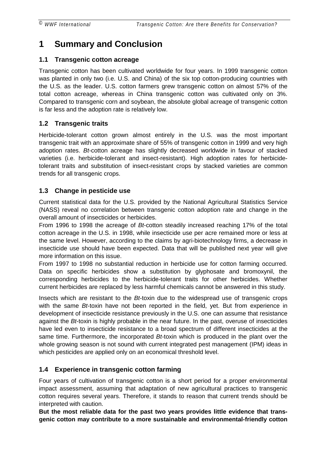# <span id="page-5-0"></span>**1 Summary and Conclusion**

### **1.1 Transgenic cotton acreage**

Transgenic cotton has been cultivated worldwide for four years. In 1999 transgenic cotton was planted in only two (i.e. U.S. and China) of the six top cotton-producing countries with the U.S. as the leader. U.S. cotton farmers grew transgenic cotton on almost 57% of the total cotton acreage, whereas in China transgenic cotton was cultivated only on 3%. Compared to transgenic corn and soybean, the absolute global acreage of transgenic cotton is far less and the adoption rate is relatively low.

### **1.2 Transgenic traits**

Herbicide-tolerant cotton grown almost entirely in the U.S. was the most important transgenic trait with an approximate share of 55% of transgenic cotton in 1999 and very high adoption rates. *Bt*-cotton acreage has slightly decreased worldwide in favour of stacked varieties (i.e. herbicide-tolerant and insect-resistant). High adoption rates for herbicidetolerant traits and substitution of insect-resistant crops by stacked varieties are common trends for all transgenic crops.

### **1.3 Change in pesticide use**

Current statistical data for the U.S. provided by the National Agricultural Statistics Service (NASS) reveal no correlation between transgenic cotton adoption rate and change in the overall amount of insecticides or herbicides.

From 1996 to 1998 the acreage of *Bt*-cotton steadily increased reaching 17% of the total cotton acreage in the U.S. in 1998, while insecticide use per acre remained more or less at the same level. However, according to the claims by agri-biotechnology firms, a decrease in insecticide use should have been expected. Data that will be published next year will give more information on this issue.

From 1997 to 1998 no substantial reduction in herbicide use for cotton farming occurred. Data on specific herbicides show a substitution by glyphosate and bromoxynil, the corresponding herbicides to the herbicide-tolerant traits for other herbicides. Whether current herbicides are replaced by less harmful chemicals cannot be answered in this study.

Insects which are resistant to the *Bt*-toxin due to the widespread use of transgenic crops with the same *Bt*-toxin have not been reported in the field, yet. But from experience in development of insecticide resistance previously in the U.S. one can assume that resistance against the *Bt*-toxin is highly probable in the near future. In the past, overuse of insecticides have led even to insecticide resistance to a broad spectrum of different insecticides at the same time. Furthermore, the incorporated *Bt-*toxin which is produced in the plant over the whole growing season is not sound with current integrated pest management (IPM) ideas in which pesticides are applied only on an economical threshold level.

### **1.4 Experience in transgenic cotton farming**

Four years of cultivation of transgenic cotton is a short period for a proper environmental impact assessment, assuming that adaptation of new agricultural practices to transgenic cotton requires several years. Therefore, it stands to reason that current trends should be interpreted with caution.

**But the most reliable data for the past two years provides little evidence that transgenic cotton may contribute to a more sustainable and environmental-friendly cotton**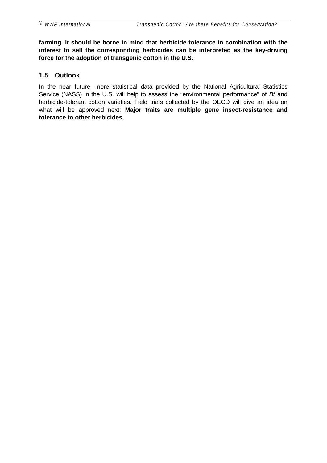<span id="page-6-0"></span>**farming. It should be borne in mind that herbicide tolerance in combination with the interest to sell the corresponding herbicides can be interpreted as the key-driving force for the adoption of transgenic cotton in the U.S.**

### **1.5 Outlook**

In the near future, more statistical data provided by the National Agricultural Statistics Service (NASS) in the U.S. will help to assess the "environmental performance" of *Bt* and herbicide-tolerant cotton varieties. Field trials collected by the OECD will give an idea on what will be approved next: **Major traits are multiple gene insect-resistance and tolerance to other herbicides.**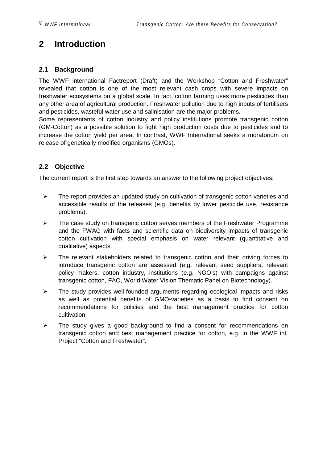# <span id="page-7-0"></span>**2 Introduction**

### **2.1 Background**

The WWF international Factreport (Draft) and the Workshop "Cotton and Freshwater" revealed that cotton is one of the most relevant cash crops with severe impacts on freshwater ecosystems on a global scale. In fact, cotton farming uses more pesticides than any other area of agricultural production. Freshwater pollution due to high inputs of fertilisers and pesticides, wasteful water use and salinisation are the major problems.

Some representants of cotton industry and policy institutions promote transgenic cotton (GM-Cotton) as a possible solution to fight high production costs due to pesticides and to increase the cotton yield per area. In contrast, WWF International seeks a moratorium on release of genetically modified organisms (GMOs).

### **2.2 Objective**

The current report is the first step towards an answer to the following project objectives:

- $\triangleright$  The report provides an updated study on cultivation of transgenic cotton varieties and accessible results of the releases (e.g. benefits by lower pesticide use, resistance problems).
- $\triangleright$  The case study on transgenic cotton serves members of the Freshwater Programme and the FWAG with facts and scientific data on biodiversity impacts of transgenic cotton cultivation with special emphasis on water relevant (quantitative and qualitative) aspects.
- $\triangleright$  The relevant stakeholders related to transgenic cotton and their driving forces to introduce transgenic cotton are assessed (e.g. relevant seed suppliers, relevant policy makers, cotton industry, institutions (e.g. NGO's) with campaigns against transgenic cotton, FAO, World Water Vision Thematic Panel on Biotechnology).
- $\triangleright$  The study provides well-founded arguments regarding ecological impacts and risks as well as potential benefits of GMO-varieties as a basis to find consent on recommendations for policies and the best management practice for cotton cultivation.
- $\triangleright$  The study gives a good background to find a consent for recommendations on transgenic cotton and best management practice for cotton, e.g. in the WWF int. Project "Cotton and Freshwater".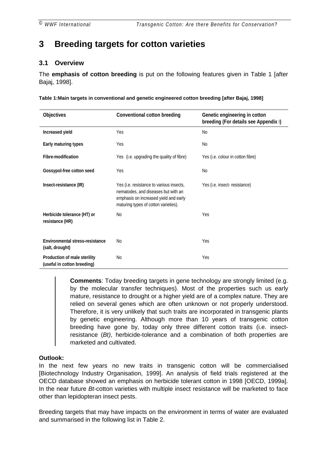# <span id="page-8-0"></span>**3 Breeding targets for cotton varieties**

#### **3.1 Overview**

The **emphasis of cotton breeding** is put on the following features given in Table 1 [after Bajaj, 1998].

**Table 1:Main targets in conventional and genetic engineered cotton breeding [after Bajaj, 1998]**

| <b>Objectives</b>                                           | <b>Conventional cotton breeding</b>                                                                                                                              | Genetic engineering in cotton<br>breeding (For details see Appendix I) |
|-------------------------------------------------------------|------------------------------------------------------------------------------------------------------------------------------------------------------------------|------------------------------------------------------------------------|
| Increased yield                                             | Yes                                                                                                                                                              | <b>No</b>                                                              |
| Early maturing types                                        | Yes                                                                                                                                                              | <b>No</b>                                                              |
| <b>Fibre-modification</b>                                   | Yes (i.e. upgrading the quality of fibre)                                                                                                                        | Yes (i.e. colour in cotton fibre)                                      |
| Gossypol-free cotton seed                                   | Yes                                                                                                                                                              | No                                                                     |
| Insect-resistance (IR)                                      | Yes (i.e. resistance to various insects,<br>nematodes, and diseases but with an<br>emphasis on increased yield and early<br>maturing types of cotton varieties). | Yes (i.e. insect-resistance)                                           |
| Herbicide tolerance (HT) or<br>resistance (HR)              | No                                                                                                                                                               | Yes                                                                    |
| <b>Environmental stress-resistance</b><br>(salt, drought)   | N <sub>0</sub>                                                                                                                                                   | Yes                                                                    |
| Production of male sterility<br>(useful in cotton breeding) | No                                                                                                                                                               | Yes                                                                    |

**Comments**: Today breeding targets in gene technology are strongly limited (e.g. by the molecular transfer techniques). Most of the properties such us early mature, resistance to drought or a higher yield are of a complex nature. They are relied on several genes which are often unknown or not properly understood. Therefore, it is very unlikely that such traits are incorporated in transgenic plants by genetic engineering. Although more than 10 years of transgenic cotton breeding have gone by, today only three different cotton traits (i.e. insectresistance (*Bt)*, herbicide-tolerance and a combination of both properties are marketed and cultivated.

#### **Outlook:**

In the next few years no new traits in transgenic cotton will be commercialised [Biotechnology Industry Organisation, 1999]. An analysis of field trials registered at the OECD database showed an emphasis on herbicide tolerant cotton in 1998 [OECD, 1999a]. In the near future *Bt*-cotton varieties with multiple insect resistance will be marketed to face other than lepidopteran insect pests.

Breeding targets that may have impacts on the environment in terms of water are evaluated and summarised in the following list in [Table 2.](#page-10-0)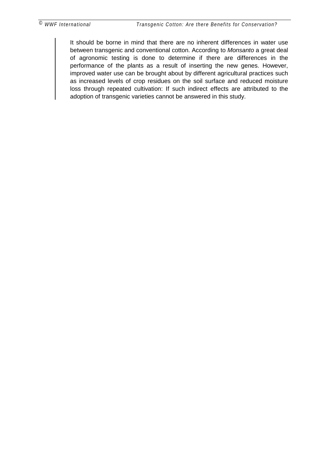It should be borne in mind that there are no inherent differences in water use between transgenic and conventional cotton. According to *Monsanto* a great deal of agronomic testing is done to determine if there are differences in the performance of the plants as a result of inserting the new genes. However, improved water use can be brought about by different agricultural practices such as increased levels of crop residues on the soil surface and reduced moisture loss through repeated cultivation: If such indirect effects are attributed to the adoption of transgenic varieties cannot be answered in this study.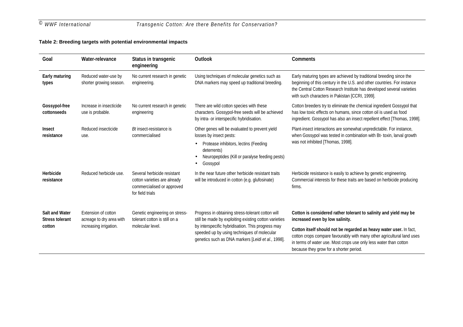## <span id="page-10-0"></span>*© WWF International Transgenic Cotton: Are there Benefits for Conservation?*

#### **Table 2: Breeding targets with potential environmental impacts**

| Goal                                                      | Water-relevance                                                           | Status in transgenic<br>engineering                                                                           | <b>Outlook</b>                                                                                                                                                                                                                                                       | <b>Comments</b>                                                                                                                                                                                                                                                                                                                                                      |
|-----------------------------------------------------------|---------------------------------------------------------------------------|---------------------------------------------------------------------------------------------------------------|----------------------------------------------------------------------------------------------------------------------------------------------------------------------------------------------------------------------------------------------------------------------|----------------------------------------------------------------------------------------------------------------------------------------------------------------------------------------------------------------------------------------------------------------------------------------------------------------------------------------------------------------------|
| <b>Early maturing</b><br>types                            | Reduced water-use by<br>shorter growing season.                           | No current research in genetic<br>engineering.                                                                | Using techniques of molecular genetics such as<br>DNA markers may speed up traditional breeding.                                                                                                                                                                     | Early maturing types are achieved by traditional breeding since the<br>beginning of this century in the U.S. and other countries. For instance<br>the Central Cotton Research Institute has developed several varieties<br>with such characters in Pakistan [CCRI, 1999].                                                                                            |
| Gossypol-free<br>cottonseeds                              | Increase in insecticide<br>use is probable.                               | No current research in genetic<br>engineering                                                                 | There are wild cotton species with these<br>characters. Gossypol-free seeds will be achieved<br>by intra- or interspecific hybridisation.                                                                                                                            | Cotton breeders try to eliminate the chemical ingredient Gossypol that<br>has low toxic effects on humans, since cotton oil is used as food<br>ingredient. Gossypol has also an insect repellent effect [Thomas, 1998].                                                                                                                                              |
| <b>Insect</b><br>resistance                               | Reduced insecticide<br>use.                                               | Bt insect-resistance is<br>commercialised                                                                     | Other genes will be evaluated to prevent yield<br>losses by insect pests:<br>Protease inhibitors, lectins (Feeding<br>$\bullet$<br>deterrents)<br>Neuropeptides (Kill or paralyse feeding pests)<br>Gossypol<br>٠                                                    | Plant-insect interactions are somewhat unpredictable. For instance,<br>when Gossypol was tested in combination with Bt- toxin, larval growth<br>was not inhibited [Thomas, 1998].                                                                                                                                                                                    |
| Herbicide<br>resistance                                   | Reduced herbicide use.                                                    | Several herbicide resistant<br>cotton varieties are already<br>commercialised or approved<br>for field trials | In the near future other herbicide resistant traits<br>will be introduced in cotton (e.g. glufosinate)                                                                                                                                                               | Herbicide resistance is easily to achieve by genetic engineering.<br>Commercial interests for these traits are based on herbicide producing<br>firms.                                                                                                                                                                                                                |
| <b>Salt and Water</b><br><b>Stress tolerant</b><br>cotton | Extension of cotton<br>acreage to dry area with<br>increasing irrigation. | Genetic engineering on stress-<br>tolerant cotton is still on a<br>molecular level.                           | Progress in obtaining stress-tolerant cotton will<br>still be made by exploiting existing cotton varieties<br>by interspecific hybridisation. This progress may<br>speeded up by using techniques of molecular<br>genetics such as DNA markers [Leidi et al., 1998]. | Cotton is considered rather tolerant to salinity and yield may be<br>increased even by low salinity.<br>Cotton itself should not be regarded as heavy water user. In fact,<br>cotton crops compare favourably with many other agricultural land uses<br>in terms of water use. Most crops use only less water than cotton<br>because they grow for a shorter period. |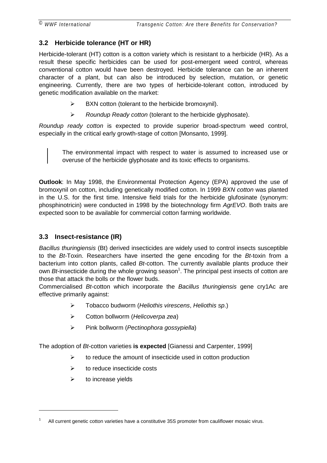### <span id="page-11-0"></span>**3.2 Herbicide tolerance (HT or HR)**

Herbicide-tolerant (HT) cotton is a cotton variety which is resistant to a herbicide (HR). As a result these specific herbicides can be used for post-emergent weed control, whereas conventional cotton would have been destroyed. Herbicide tolerance can be an inherent character of a plant, but can also be introduced by selection, mutation, or genetic engineering. Currently, there are two types of herbicide-tolerant cotton, introduced by genetic modification available on the market:

- $\triangleright$  BXN cotton (tolerant to the herbicide bromoxynil).
- ! *Roundup Ready cotton* (tolerant to the herbicide glyphosate).

*Roundup ready cotton* is expected to provide superior broad-spectrum weed control, especially in the critical early growth-stage of cotton [Monsanto, 1999].

The environmental impact with respect to water is assumed to increased use or overuse of the herbicide glyphosate and its toxic effects to organisms.

**Outlook**: In May 1998, the Environmental Protection Agency (EPA) approved the use of bromoxynil on cotton, including genetically modified cotton. In 1999 *BXN cotton* was planted in the U.S. for the first time. Intensive field trials for the herbicide glufosinate (synonym: phosphinotricin) were conducted in 1998 by the biotechnology firm *AgrEVO*. Both traits are expected soon to be available for commercial cotton farming worldwide.

### **3.3 Insect-resistance (IR)**

*Bacillus thuringiensis* (Bt) derived insecticides are widely used to control insects susceptible to the *Bt*-Toxin. Researchers have inserted the gene encoding for the *Bt*-toxin from a bacterium into cotton plants, called *Bt*-cotton. The currently available plants produce their own *Bt*-insecticide during the whole growing season<sup>1</sup>. The principal pest insects of cotton are those that attack the bolls or the flower buds.

Commercialised *Bt*-cotton which incorporate the *Bacillus thuringiensis* gene cry1Ac are effective primarily against:

- ! Tobacco budworm (*Heliothis virescens*, *Heliothis sp*.)
- ! Cotton bollworm (*Helicoverpa zea*)
- ! Pink bollworm (*Pectinophora gossypiella*)

The adoption of *Bt*-cotton varieties **is expected** [Gianessi and Carpenter, 1999]

- $\triangleright$  to reduce the amount of insecticide used in cotton production
- $\triangleright$  to reduce insecticide costs
- $\triangleright$  to increase yields

<sup>1</sup> All current genetic cotton varieties have a constitutive 35S promoter from cauliflower mosaic virus.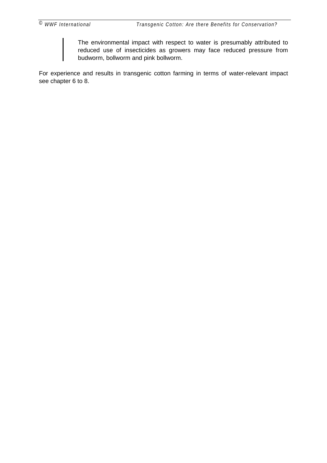The environmental impact with respect to water is presumably attributed to reduced use of insecticides as growers may face reduced pressure from budworm, bollworm and pink bollworm.

For experience and results in transgenic cotton farming in terms of water-relevant impact see chapter [6](#page-21-0) to [8.](#page-24-0)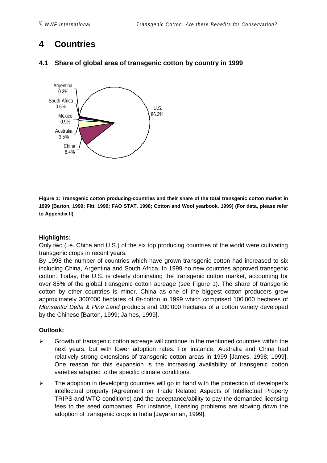<span id="page-13-0"></span>

*© WWF International Transgenic Cotton: Are there Benefits for Conservation?*

# **4 Countries**



### **4.1 Share of global area of transgenic cotton by country in 1999**

**Figure 1: Transgenic cotton producing-countries and their share of the total transgenic cotton market in 1999 [Barton, 1999; Fitt, 1999; FAO STAT, 1998; Cotton and Wool yearbook, 1999] (For data, please refer to [Appendix II\)](#page-40-0)**

#### **Highlights:**

Only two (i.e. China and U.S.) of the six top producing countries of the world were cultivating transgenic crops in recent years.

By 1998 the number of countries which have grown transgenic cotton had increased to six including China, Argentina and South Africa. In 1999 no new countries approved transgenic cotton. Today, the U.S. is clearly dominating the transgenic cotton market, accounting for over 85% of the global transgenic cotton acreage (see Figure 1). The share of transgenic cotton by other countries is minor. China as one of the biggest cotton producers grew approximately 300'000 hectares of *Bt*-cotton in 1999 which comprised 100'000 hectares of *Monsanto/ Delta & Pine Land* products and 200'000 hectares of a cotton variety developed by the Chinese [Barton, 1999; James, 1999].

#### **Outlook:**

- $\triangleright$  Growth of transgenic cotton acreage will continue in the mentioned countries within the next years, but with lower adoption rates. For instance, Australia and China had relatively strong extensions of transgenic cotton areas in 1999 [James, 1998; 1999]. One reason for this expansion is the increasing availability of transgenic cotton varieties adapted to the specific climate conditions.
- $\triangleright$  The adoption in developing countries will go in hand with the protection of developer's intellectual property (Agreement on Trade Related Aspects of Intellectual Property TRIPS and WTO conditions) and the acceptance/ability to pay the demanded licensing fees to the seed companies. For instance, licensing problems are slowing down the adoption of transgenic crops in India [Jayaraman, 1999].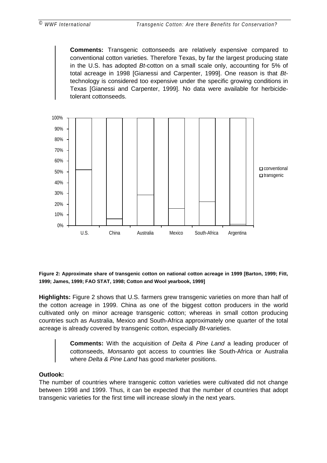**Comments:** Transgenic cottonseeds are relatively expensive compared to conventional cotton varieties. Therefore Texas, by far the largest producing state in the U.S. has adopted *Bt*-cotton on a small scale only, accounting for 5% of total acreage in 1998 [Gianessi and Carpenter, 1999]. One reason is that *Bt*technology is considered too expensive under the specific growing conditions in Texas [Gianessi and Carpenter, 1999]. No data were available for herbicidetolerant cottonseeds.



**Figure 2: Approximate share of transgenic cotton on national cotton acreage in 1999 [Barton, 1999; Fitt, 1999; James, 1999; FAO STAT, 1998; Cotton and Wool yearbook, 1999]**

**Highlights:** Figure 2 shows that U.S. farmers grew transgenic varieties on more than half of the cotton acreage in 1999. China as one of the biggest cotton producers in the world cultivated only on minor acreage transgenic cotton; whereas in small cotton producing countries such as Australia, Mexico and South-Africa approximately one quarter of the total acreage is already covered by transgenic cotton, especially *Bt*-varieties.

> **Comments:** With the acquisition of *Delta & Pine Land* a leading producer of cottonseeds, *Monsanto* got access to countries like South-Africa or Australia where *Delta & Pine Land* has good marketer positions.

#### **Outlook:**

The number of countries where transgenic cotton varieties were cultivated did not change between 1998 and 1999. Thus, it can be expected that the number of countries that adopt transgenic varieties for the first time will increase slowly in the next years.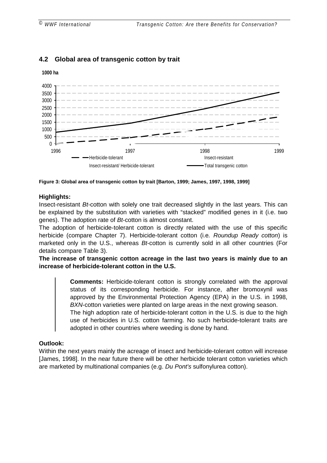

### <span id="page-15-0"></span>**4.2 Global area of transgenic cotton by trait**

**Figure 3: Global area of transgenic cotton by trait [Barton, 1999; James, 1997, 1998, 1999]**

#### **Highlights:**

Insect-resistant *Bt*-cotton with solely one trait decreased slightly in the last years. This can be explained by the substitution with varieties with "stacked" modified genes in it (i.e. two genes). The adoption rate of *Bt*-cotton is almost constant.

The adoption of herbicide-tolerant cotton is directly related with the use of this specific herbicide (compare Chapter [7\)](#page-22-0). Herbicide-tolerant cotton (i.e*. Roundup Ready cotton*) is marketed only in the U.S., whereas *Bt*-cotton is currently sold in all other countries (For details compare [Table 3\)](#page-16-0).

**The increase of transgenic cotton acreage in the last two years is mainly due to an increase of herbicide-tolerant cotton in the U.S.**

> **Comments:** Herbicide-tolerant cotton is strongly correlated with the approval status of its corresponding herbicide. For instance, after bromoxynil was approved by the Environmental Protection Agency (EPA) in the U.S. in 1998, *BXN*-cotton varieties were planted on large areas in the next growing season.

> The high adoption rate of herbicide-tolerant cotton in the U.S. is due to the high use of herbicides in U.S. cotton farming. No such herbicide-tolerant traits are adopted in other countries where weeding is done by hand.

#### **Outlook:**

Within the next years mainly the acreage of insect and herbicide-tolerant cotton will increase [James, 1998]. In the near future there will be other herbicide tolerant cotton varieties which are marketed by multinational companies (e.g. *Du Pont's* sulfonylurea cotton).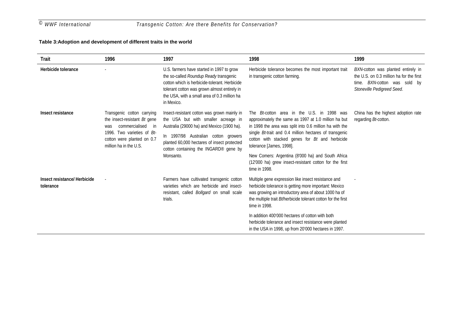#### <span id="page-16-0"></span>**Table 3:Adoption and development of different traits in the world**

| <b>Trait</b>                              | 1996                                                                                                                                                                              | 1997                                                                                                                                                                                                                                                                          | 1998                                                                                                                                                                                                                                                                                                                                                                                                                                          | 1999                                                                                                                                            |
|-------------------------------------------|-----------------------------------------------------------------------------------------------------------------------------------------------------------------------------------|-------------------------------------------------------------------------------------------------------------------------------------------------------------------------------------------------------------------------------------------------------------------------------|-----------------------------------------------------------------------------------------------------------------------------------------------------------------------------------------------------------------------------------------------------------------------------------------------------------------------------------------------------------------------------------------------------------------------------------------------|-------------------------------------------------------------------------------------------------------------------------------------------------|
| Herbicide tolerance                       |                                                                                                                                                                                   | U.S. farmers have started in 1997 to grow<br>the so-called Roundup Ready transgenic<br>cotton which is herbicide-tolerant. Herbicide<br>tolerant cotton was grown almost entirely in<br>the USA, with a small area of 0.3 million ha<br>in Mexico.                            | Herbicide tolerance becomes the most important trait<br>in transgenic cotton farming.                                                                                                                                                                                                                                                                                                                                                         | BXN-cotton was planted entirely in<br>the U.S. on 0.3 million ha for the first<br>BXN-cotton was sold by<br>time.<br>Stoneville Pedigreed Seed. |
| Insect resistance                         | Transgenic cotton carrying<br>the insect-resistant Bt gene<br>commercialised<br>was<br>- in<br>1996. Two varieties of Bt-<br>cotton were planted on 0.7<br>million ha in the U.S. | Insect-resistant cotton was grown mainly in<br>the USA but with smaller acreage in<br>Australia (29000 ha) and Mexico (1900 ha).<br>In 1997/98 Australian cotton growers<br>planted 60,000 hectares of insect protected<br>cotton containing the INGARD® gene by<br>Monsanto. | The <i>Bt</i> -cotton area in the U.S. in 1998 was<br>approximately the same as 1997 at 1.0 million ha but<br>in 1998 the area was split into 0.6 million ha with the<br>single Bt-trait and 0.4 million hectares of transgenic<br>cotton with stacked genes for Bt and herbicide<br>tolerance [James, 1998].<br>New Comers: Argentina (8'000 ha) and South Africa<br>(12'000 ha) grew insect-resistant cotton for the first<br>time in 1998. | China has the highest adoption rate<br>regarding Bt-cotton.                                                                                     |
| Insect resistance/ Herbicide<br>tolerance | ÷,                                                                                                                                                                                | Farmers have cultivated transgenic cotton<br>varieties which are herbicide and insect-<br>resistant, called <i>Bollgard</i> on small scale<br>trials.                                                                                                                         | Multiple gene expression like insect resistance and<br>herbicide tolerance is getting more important: Mexico<br>was growing an introductory area of about 1000 ha of<br>the multiple trait Bilherbicide tolerant cotton for the first<br>time in 1998.                                                                                                                                                                                        |                                                                                                                                                 |
|                                           |                                                                                                                                                                                   |                                                                                                                                                                                                                                                                               | In addition 400'000 hectares of cotton with both<br>herbicide tolerance and insect resistance were planted<br>in the USA in 1998, up from 20'000 hectares in 1997.                                                                                                                                                                                                                                                                            |                                                                                                                                                 |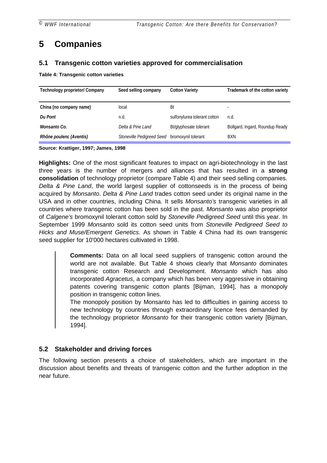# <span id="page-17-0"></span>**5 Companies**

#### **5.1 Transgenic cotton varieties approved for commercialisation**

**Table 4: Transgenic cotton varieties**

| <b>Technology proprietor/ Company</b> | Seed selling company                          | <b>Cotton Variety</b>        | Trademark of the cotton variety |
|---------------------------------------|-----------------------------------------------|------------------------------|---------------------------------|
| China (no company name)               | local                                         | Bt                           |                                 |
| <b>Du Pont</b>                        | n.d.                                          | sulfonylurea tolerant cotton | n.d.                            |
| Monsanto Co.                          | Delta & Pine Land                             | Bt/glyphosate tolerant       | Bollgard, Ingard, Roundup Ready |
| Rhône poulenc (Aventis)               | Stoneville Pedigreed Seed bromoxynil tolerant |                              | <b>BXN</b>                      |

**Source: Krattiger, 1997; James, 1998**

**Highlights:** One of the most significant features to impact on agri-biotechnology in the last three years is the number of mergers and alliances that has resulted in a **strong consolidation** of technology proprietor (compare Table 4) and their seed selling companies. *Delta & Pine Land*, the world largest supplier of cottonseeds is in the process of being acquired by *Monsanto*. *Delta & Pine Land* trades cotton seed under its original name in the USA and in other countries, including China. It sells *Monsanto's* transgenic varieties in all countries where transgenic cotton has been sold in the past. *Monsanto* was also proprietor of *Calgene's* bromoxynil tolerant cotton sold by *Stoneville Pedigreed Seed* until this year. In September 1999 *Monsanto* sold its cotton seed units from *Stoneville Pedigreed Seed to Hicks and Muse/Emergent Genetics*. As shown in Table 4 China had its own transgenic seed supplier for 10'000 hectares cultivated in 1998.

> **Comments:** Data on all local seed suppliers of transgenic cotton around the world are not available. But Table 4 shows clearly that *Monsanto* dominates transgenic cotton Research and Development. *Monsanto* which has also incorporated *Agracetus*, a company which has been very aggressive in obtaining patents covering transgenic cotton plants [Bijman, 1994], has a monopoly position in transgenic cotton lines.

> The monopoly position by Monsanto has led to difficulties in gaining access to new technology by countries through extraordinary licence fees demanded by the technology proprietor *Monsanto* for their transgenic cotton variety [Bijman, 1994].

### **5.2 Stakeholder and driving forces**

The following section presents a choice of stakeholders, which are important in the discussion about benefits and threats of transgenic cotton and the further adoption in the near future.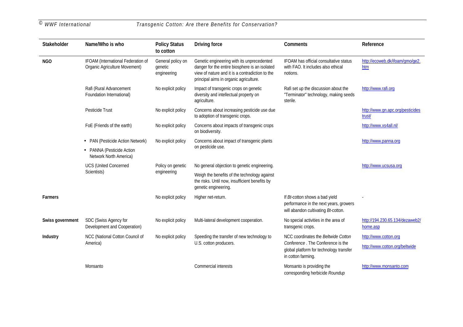*© WWF International Transgenic Cotton: Are there Benefits for Conservation?*

| <b>Stakeholder</b> | Name/Who is who                                                     | <b>Policy Status</b><br>to cotton           | <b>Driving force</b>                                                                                                                                                                      | <b>Comments</b>                                                                                                 | Reference                                   |
|--------------------|---------------------------------------------------------------------|---------------------------------------------|-------------------------------------------------------------------------------------------------------------------------------------------------------------------------------------------|-----------------------------------------------------------------------------------------------------------------|---------------------------------------------|
| <b>NGO</b>         | IFOAM (International Federation of<br>Organic Agriculture Movement) | General policy on<br>genetic<br>engineering | Genetic engineering with its unprecedented<br>danger for the entire biosphere is an isolated<br>view of nature and it is a contradiction to the<br>principal aims in organic agriculture. | IFOAM has official consultative status<br>with FAO. It includes also ethical<br>notions.                        | http://ecoweb.dk/ifoam/gmo/ge2.<br>htm      |
|                    | Rafi (Rural Advancement<br>Foundation International)                | No explicit policy                          | Impact of transgenic crops on genetic<br>diversity and intellectual property on<br>agriculture.                                                                                           | Rafi set up the discussion about the<br>"Terminator" technology, making seeds<br>sterile.                       | http://www.rafi.org                         |
|                    | Pesticide Trust                                                     | No explicit policy                          | Concerns about increasing pesticide use due<br>to adoption of transgenic crops.                                                                                                           |                                                                                                                 | http://www.gn.apc.org/pesticides<br>trust/  |
|                    | FoE (Friends of the earth)                                          | No explicit policy                          | Concerns about impacts of transgenic crops<br>on biodiversity.                                                                                                                            |                                                                                                                 | http://www.xs4all.nl/                       |
|                    | • PAN (Pesticide Action Network)                                    | No explicit policy                          | Concerns about impact of transgenic plants                                                                                                                                                |                                                                                                                 | http://www.panna.org                        |
|                    | • PANNA (Pesticide Action<br>Network North America)                 |                                             | on pesticide use.                                                                                                                                                                         |                                                                                                                 |                                             |
|                    | <b>UCS (United Concerned</b>                                        | Policy on genetic                           | No general objection to genetic engineering.                                                                                                                                              |                                                                                                                 | http://www.ucsusa.org                       |
|                    | Scientists)                                                         | engineering                                 | Weigh the benefits of the technology against<br>the risks. Until now, insufficient benefits by<br>genetic engineering.                                                                    |                                                                                                                 |                                             |
| <b>Farmers</b>     |                                                                     | No explicit policy                          | Higher net-return.                                                                                                                                                                        | If Bt-cotton shows a bad yield<br>performance in the next years, growers<br>will abandon cultivating Bt-cotton. |                                             |
| Swiss government   | SDC (Swiss Agency for<br>Development and Cooperation)               | No explicit policy                          | Multi-lateral development cooperation.                                                                                                                                                    | No special activities in the area of<br>transgenic crops.                                                       | http://194.230.65.134/dezaweb2/<br>home.asp |
| <b>Industry</b>    | NCC (National Cotton Council of                                     | No explicit policy                          | Speeding the transfer of new technology to                                                                                                                                                | NCC coordinates the Beltwide Cotton                                                                             | http://www.cotton.org                       |
|                    | America)                                                            |                                             | U.S. cotton producers.                                                                                                                                                                    | Conference. The Conference is the<br>global platform for technology transfer<br>in cotton farming.              | http://www.cotton.org/beltwide              |
|                    | Monsanto                                                            |                                             | Commercial interests                                                                                                                                                                      | Monsanto is providing the<br>corresponding herbicide Roundup                                                    | http://www.monsanto.com                     |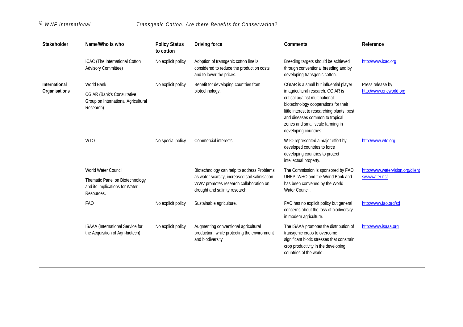| <b>Stakeholder</b>   | Name/Who is who                                                                       | <b>Policy Status</b><br>to cotton | <b>Driving force</b>                                                                                                        | <b>Comments</b>                                                                                                                                                                                                                                             | Reference                         |
|----------------------|---------------------------------------------------------------------------------------|-----------------------------------|-----------------------------------------------------------------------------------------------------------------------------|-------------------------------------------------------------------------------------------------------------------------------------------------------------------------------------------------------------------------------------------------------------|-----------------------------------|
|                      | ICAC (The International Cotton<br><b>Advisory Committee)</b>                          | No explicit policy                | Adoption of transgenic cotton line is<br>considered to reduce the production costs<br>and to lower the prices.              | Breeding targets should be achieved<br>through conventional breeding and by<br>developing transgenic cotton.                                                                                                                                                | http://www.icac.org               |
| <b>International</b> | <b>World Bank</b>                                                                     | No explicit policy                | Benefit for developing countries from                                                                                       | CGIAR is a small but influential player                                                                                                                                                                                                                     | Press release by                  |
| Organisations        | <b>CGIAR (Bank's Consultative</b><br>Group on International Agricultural<br>Research) |                                   | biotechnology.                                                                                                              | in agricultural research. CGIAR is<br>critical against multinational<br>biotechnology cooperations for their<br>little interest to researching plants, pest<br>and diseases common to tropical<br>zones and small scale farming in<br>developing countries. | http://www.oneworld.org           |
|                      | <b>WTO</b>                                                                            | No special policy                 | Commercial interests                                                                                                        | WTO represented a major effort by<br>developed countries to force<br>developing countries to protect<br>intellectual property.                                                                                                                              | http://www.wto.org                |
|                      | <b>World Water Council</b>                                                            |                                   | Biotechnology can help to address Problems                                                                                  | The Commission is sponsored by FAO,                                                                                                                                                                                                                         | http://www.watervision.org/client |
|                      | Thematic Panel on Biotechnology<br>and its Implications for Water<br>Resources.       |                                   | as water scarcity, increased soil-salinisation.<br>WWV promotes research collaboration on<br>drought and salinity research. | UNEP, WHO and the World Bank and<br>has been convened by the World<br>Water Council.                                                                                                                                                                        | s/wv/water.nsf                    |
|                      | <b>FAO</b>                                                                            | No explicit policy                | Sustainable agriculture.                                                                                                    | FAO has no explicit policy but general<br>concerns about the loss of biodiversity<br>in modern agriculture.                                                                                                                                                 | http://www.fao.org/sd             |
|                      | ISAAA (International Service for<br>the Acquisition of Agri-biotech)                  | No explicit policy                | Augmenting conventional agricultural<br>production, while protecting the environment<br>and biodiversity                    | The ISAAA promotes the distribution of<br>transgenic crops to overcome<br>significant biotic stresses that constrain<br>crop productivity in the developing<br>countries of the world.                                                                      | http://www.isaaa.org              |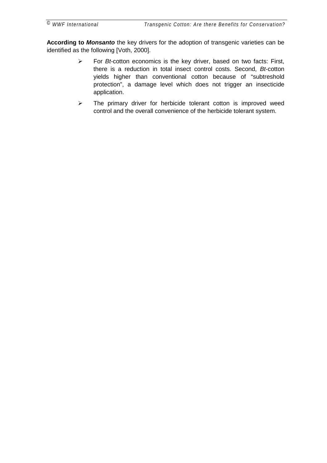**According to** *Monsanto* the key drivers for the adoption of transgenic varieties can be identified as the following [Voth, 2000].

- ! For *Bt*-cotton economics is the key driver, based on two facts: First, there is a reduction in total insect control costs. Second, *Bt*-cotton yields higher than conventional cotton because of "subtreshold protection", a damage level which does not trigger an insecticide application.
- $\triangleright$  The primary driver for herbicide tolerant cotton is improved weed control and the overall convenience of the herbicide tolerant system.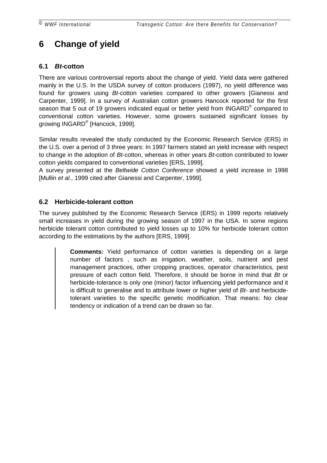# <span id="page-21-0"></span>**6 Change of yield**

### **6.1** *Bt***-cotton**

There are various controversial reports about the change of yield. Yield data were gathered mainly in the U.S. In the USDA survey of cotton producers (1997), no yield difference was found for growers using *Bt-*cotton varieties compared to other growers [Gianessi and Carpenter, 1999]. In a survey of Australian cotton growers Hancock reported for the first season that 5 out of 19 growers indicated equal or better yield from INGARD® compared to conventional cotton varieties. However, some growers sustained significant losses by growing INGARD® [Hancock, 1999].

Similar results revealed the study conducted by the Economic Research Service (ERS) in the U.S. over a period of 3 three years: In 1997 farmers stated an yield increase with respect to change in the adoption of *Bt*-cotton, whereas in other years *Bt*-cotton contributed to lower cotton yields compared to conventional varieties [ERS, 1999].

A survey presented at the *Beltwide Cotton Conference* showed a yield increase in 1998 [Mullin *et al*., 1999 cited after Gianessi and Carpenter, 1999].

### **6.2 Herbicide-tolerant cotton**

The survey published by the Economic Research Service (ERS) in 1999 reports relatively small increases in yield during the growing season of 1997 in the USA. In some regions herbicide tolerant cotton contributed to yield losses up to 10% for herbicide tolerant cotton according to the estimations by the authors [ERS, 1999].

> **Comments:** Yield performance of cotton varieties is depending on a large number of factors , such as irrigation, weather, soils, nutrient and pest management practices, other cropping practices, operator characteristics, pest pressure of each cotton field. Therefore, it should be borne in mind that *Bt* or herbicide-tolerance is only one (minor) factor influencing yield performance and it is difficult to generalise and to attribute lower or higher yield of *Bt*- and herbicidetolerant varieties to the specific genetic modification. That means: No clear tendency or indication of a trend can be drawn so far.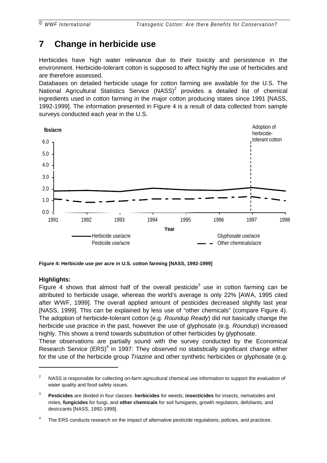# <span id="page-22-0"></span>**7 Change in herbicide use**

Herbicides have high water relevance due to their toxicity and persistence in the environment. Herbicide-tolerant cotton is supposed to affect highly the use of herbicides and are therefore assessed.

Databases on detailed herbicide usage for cotton farming are available for the U.S. The National Agricultural Statistics Service (NASS)<sup>2</sup> provides a detailed list of chemical ingredients used in cotton farming in the major cotton producing states since 1991 [NASS, 1992-1999]. The information presented in Figure 4 is a result of data collected from sample surveys conducted each year in the U.S.



**Figure 4: Herbicide use per acre in U.S. cotton farming [NASS, 1992-1999]**

### **Highlights:**

 $\overline{a}$ 

Figure 4 shows that almost half of the overall pesticide<sup>3</sup> use in cotton farming can be attributed to herbicide usage, whereas the world's average is only 22% [AWA, 1995 cited after WWF, 1999]. The overall applied amount of pesticides decreased slightly last year [NASS, 1999]. This can be explained by less use of "other chemicals" (compare Figure 4). The adoption of herbicide-tolerant cotton (e.g. *Roundup Ready*) did not basically change the herbicide use practice in the past, however the use of glyphosate (e.g. *Roundup*) increased highly. This shows a trend towards substitution of other herbicides by glyphosate.

These observations are partially sound with the survey conducted by the Economical Research Service (ERS)<sup>4</sup> in 1997: They observed no statistically significant change either for the use of the herbicide group *Triazine* and other synthetic herbicides or glyphosate (e.g.

<sup>2</sup> NASS is responsible for collecting on-farm agricultural chemical use information to support the evaluation of water quality and food safety issues.

<sup>3</sup> **Pesticides** are divided in four classes: **herbicides** for weeds; **insecticides** for insects, nematodes and mites, **fungicides** for fungi, and **other chemicals** for soil fumigants, growth regulators, defoliants, and desiccants [NASS, 1992-1999].

<sup>4</sup> The ERS conducts research on the impact of alternative pesticide regulations, policies, and practices.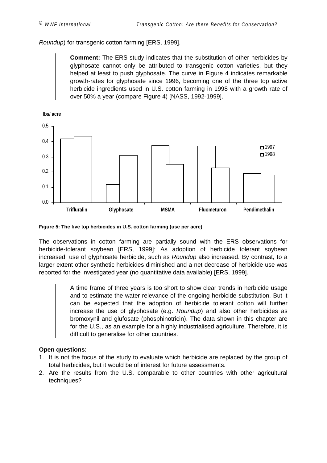*Roundup*) for transgenic cotton farming [ERS, 1999].

**Comment:** The ERS study indicates that the substitution of other herbicides by glyphosate cannot only be attributed to transgenic cotton varieties, but they helped at least to push glyphosate. The curve in [Figure 4](#page-22-0) indicates remarkable growth-rates for glyphosate since 1996, becoming one of the three top active herbicide ingredients used in U.S. cotton farming in 1998 with a growth rate of over 50% a year (compare [Figure 4\)](#page-22-0) [NASS, 1992-1999].



**Figure 5: The five top herbicides in U.S. cotton farming (use per acre)**

The observations in cotton farming are partially sound with the ERS observations for herbicide-tolerant soybean [ERS, 1999]: As adoption of herbicide tolerant soybean increased, use of glyphosate herbicide, such as *Roundup* also increased. By contrast, to a larger extent other synthetic herbicides diminished and a net decrease of herbicide use was reported for the investigated year (no quantitative data available) [ERS, 1999].

> A time frame of three years is too short to show clear trends in herbicide usage and to estimate the water relevance of the ongoing herbicide substitution. But it can be expected that the adoption of herbicide tolerant cotton will further increase the use of glyphosate (e.g. *Roundup*) and also other herbicides as bromoxynil and glufosate (phosphinotricin). The data shown in this chapter are for the U.S., as an example for a highly industrialised agriculture. Therefore, it is difficult to generalise for other countries.

#### **Open questions**:

- 1. It is not the focus of the study to evaluate which herbicide are replaced by the group of total herbicides, but it would be of interest for future assessments.
- 2. Are the results from the U.S. comparable to other countries with other agricultural techniques?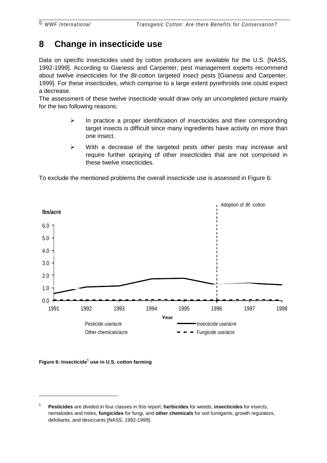# <span id="page-24-0"></span>**8 Change in insecticide use**

Data on specific insecticides used by cotton producers are available for the U.S. [NASS, 1992-1999]. According to Gianessi and Carpenter, pest management experts recommend about twelve insecticides for the *Bt*-cotton targeted insect pests [Gianessi and Carpenter, 1999]. For these insecticides, which comprise to a large extent pyrethroids one could expect a decrease.

The assessment of these twelve insecticide would draw only an uncompleted picture mainly for the two following reasons:

- $\triangleright$  In practice a proper identification of insecticides and their corresponding target insects is difficult since many ingredients have activity on more than one insect.
- $\triangleright$  With a decrease of the targeted pests other pests may increase and require further spraying of other insecticides that are not comprised in these twelve insecticides.

To exclude the mentioned problems the overall insecticide use is assessed in Figure 6:



**Figure 6: Insecticide**<sup>5</sup>  **use in U.S. cotton farming**

 $\overline{a}$ 

<sup>5</sup> **Pesticides** are divided in four classes in this report: **herbicides** for weeds; **insecticides** for insects, nematodes and mites, **fungicides** for fungi, and **other chemicals** for soil fumigants, growth regulators, defoliants, and desiccants [NASS, 1992-1999].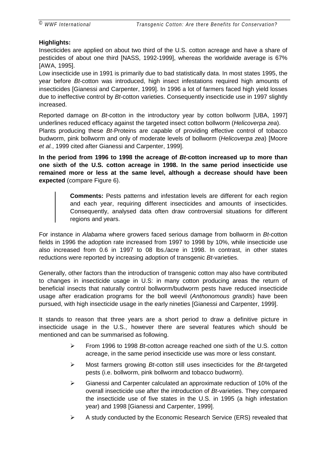#### **Highlights:**

Insecticides are applied on about two third of the U.S. cotton acreage and have a share of pesticides of about one third [NASS, 1992-1999], whereas the worldwide average is 67% [AWA, 1995].

Low insecticide use in 1991 is primarily due to bad statistically data. In most states 1995, the year before *Bt*-cotton was introduced, high insect infestations required high amounts of insecticides [Gianessi and Carpenter, 1999]. In 1996 a lot of farmers faced high yield losses due to ineffective control by *Bt*-cotton varieties. Consequently insecticide use in 1997 slightly increased.

Reported damage on *Bt*-cotton in the introductory year by cotton bollworm [UBA, 1997] underlines reduced efficacy against the targeted insect cotton bollworm (*Helicoverpa zea*). Plants producing these *Bt*-Proteins are capable of providing effective control of tobacco budworm, pink bollworm and only of moderate levels of bollworm (*Helicoverpa zea*) [Moore *et al.*, 1999 cited after Gianessi and Carpenter, 1999].

**In the period from 1996 to 1998 the acreage of** *Bt***-cotton increased up to more than one sixth of the U.S. cotton acreage in 1998. In the same period insecticide use remained more or less at the same level, although a decrease should have been expected** (compare [Figure 6\)](#page-24-0).

> **Comments:** Pests patterns and infestation levels are different for each region and each year, requiring different insecticides and amounts of insecticides. Consequently, analysed data often draw controversial situations for different regions and years.

For instance in *Alabama* where growers faced serious damage from bollworm in *Bt*-cotton fields in 1996 the adoption rate increased from 1997 to 1998 by 10%, while insecticide use also increased from 0.6 in 1997 to 08 lbs./acre in 1998. In contrast, in other states reductions were reported by increasing adoption of transgenic *Bt*-varieties.

Generally, other factors than the introduction of transgenic cotton may also have contributed to changes in insecticide usage in U.S: in many cotton producing areas the return of beneficial insects that naturally control bollworm/budworm pests have reduced insecticide usage after eradication programs for the boll weevil (*Anthonomous grandis*) have been pursued, with high insecticide usage in the early nineties [Gianessi and Carpenter, 1999].

It stands to reason that three years are a short period to draw a definitive picture in insecticide usage in the U.S., however there are several features which should be mentioned and can be summarised as following.

- ! From 1996 to 1998 *Bt*-cotton acreage reached one sixth of the U.S. cotton acreage, in the same period insecticide use was more or less constant.
- ! Most farmers growing *Bt-*cotton still uses insecticides for the *Bt-*targeted pests (i.e. bollworm, pink bollworm and tobacco budworm).
- $\triangleright$  Gianessi and Carpenter calculated an approximate reduction of 10% of the overall insecticide use after the introduction of *Bt*-varieties. They compared the insecticide use of five states in the U.S. in 1995 (a high infestation year) and 1998 [Gianessi and Carpenter, 1999].
- $\triangleright$  A study conducted by the Economic Research Service (ERS) revealed that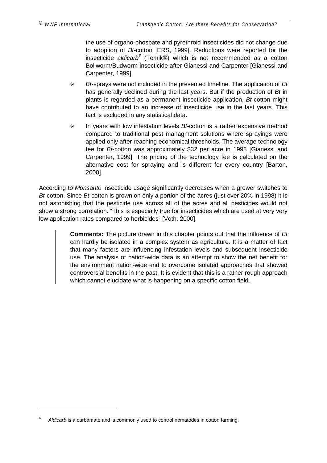the use of organo-phospate and pyrethroid insecticides did not change due to adoption of *Bt*-cotton [ERS, 1999]. Reductions were reported for the insecticide *aldicarb*<sup>6</sup> (Temik®) which is not recommended as a cotton Bollworm/Budworm insecticide after Gianessi and Carpenter [Gianessi and Carpenter, 1999].

- ! *Bt*-sprays were not included in the presented timeline. The application of *Bt* has generally declined during the last years. But if the production of *Bt* in plants is regarded as a permanent insecticide application, *Bt*-cotton might have contributed to an increase of insecticide use in the last years. This fact is excluded in any statistical data.
- ! In years with low infestation levels *Bt*-cotton is a rather expensive method compared to traditional pest managment solutions where sprayings were applied only after reaching economical thresholds. The average technology fee for *Bt*-cotton was approximately \$32 per acre in 1998 [Gianessi and Carpenter, 1999]. The pricing of the technology fee is calculated on the alternative cost for spraying and is different for every country [Barton, 2000].

According to *Monsanto* insecticide usage significantly decreases when a grower switches to *Bt*-cotton. Since *Bt*-cotton is grown on only a portion of the acres (just over 20% in 1998) it is not astonishing that the pesticide use across all of the acres and all pesticides would not show a strong correlation. "This is especially true for insecticides which are used at very very low application rates compared to herbicides" [Voth, 2000].

> **Comments:** The picture drawn in this chapter points out that the influence of *Bt* can hardly be isolated in a complex system as agriculture. It is a matter of fact that many factors are influencing infestation levels and subsequent insecticide use. The analysis of nation-wide data is an attempt to show the net benefit for the environment nation-wide and to overcome isolated approaches that showed controversial benefits in the past. It is evident that this is a rather rough approach which cannot elucidate what is happening on a specific cotton field.

 $\overline{a}$ 

<sup>6</sup> *Aldicarb* is a carbamate and is commonly used to control nematodes in cotton farming.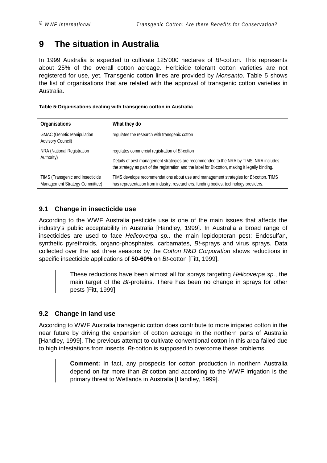# <span id="page-27-0"></span>**9 The situation in Australia**

In 1999 Australia is expected to cultivate 125'000 hectares of *Bt*-cotton. This represents about 25% of the overall cotton acreage. Herbicide tolerant cotton varieties are not registered for use, yet. Transgenic cotton lines are provided by *Monsanto*. Table 5 shows the list of organisations that are related with the approval of transgenic cotton varieties in Australia.

**Table 5:Organisations dealing with transgenic cotton in Australia**

| <b>Organisations</b>                                               | What they do                                                                                                                                                                               |
|--------------------------------------------------------------------|--------------------------------------------------------------------------------------------------------------------------------------------------------------------------------------------|
| <b>GMAC</b> (Genetic Manipulation<br><b>Advisory Council)</b>      | regulates the research with transgenic cotton                                                                                                                                              |
| <b>NRA (National Registration</b>                                  | regulates commercial registration of Bt-cotton                                                                                                                                             |
| Authority)                                                         | Details of pest management strategies are recommended to the NRA by TIMS. NRA includes<br>the strategy as part of the registration and the label for Bt-cotton, making it legally binding. |
| TIMS (Transgenic and Insecticide<br>Management Strategy Committee) | TIMS develops recommendations about use and management strategies for <i>Bt</i> -cotton. TIMS<br>has representation from industry, researchers, funding bodies, technology providers.      |

### **9.1 Change in insecticide use**

According to the WWF Australia pesticide use is one of the main issues that affects the industry's public acceptability in Australia [Handley, 1999]. In Australia a broad range of insecticides are used to face *Helicoverpa sp.,* the main lepidopteran pest: Endosulfan, synthetic pyrethroids, organo-phosphates, carbamates, *Bt*-sprays and virus sprays. Data collected over the last three seasons by the *Cotton R&D Corporation* shows reductions in specific insecticide applications of **50-60%** on *Bt*-cotton [Fitt, 1999].

> These reductions have been almost all for sprays targeting *Helicoverpa sp.*, the main target of the *Bt*-proteins. There has been no change in sprays for other pests [Fitt, 1999].

### **9.2 Change in land use**

According to WWF Australia transgenic cotton does contribute to more irrigated cotton in the near future by driving the expansion of cotton acreage in the northern parts of Australia [Handley, 1999]. The previous attempt to cultivate conventional cotton in this area failed due to high infestations from insects. *Bt*-cotton is supposed to overcome these problems.

> **Comment:** In fact, any prospects for cotton production in northern Australia depend on far more than *Bt*-cotton and according to the WWF irrigation is the primary threat to Wetlands in Australia [Handley, 1999].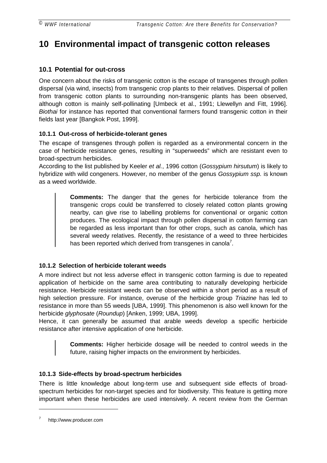# <span id="page-28-0"></span>**10 Environmental impact of transgenic cotton releases**

### **10.1 Potential for out-cross**

One concern about the risks of transgenic cotton is the escape of transgenes through pollen dispersal (via wind, insects) from transgenic crop plants to their relatives. Dispersal of pollen from transgenic cotton plants to surrounding non-transgenic plants has been observed, although cotton is mainly self-pollinating [Umbeck et al., 1991; Llewellyn and Fitt, 1996]. *Biothai* for instance has reported that conventional farmers found transgenic cotton in their fields last year [Bangkok Post, 1999].

#### **10.1.1 Out-cross of herbicide-tolerant genes**

The escape of transgenes through pollen is regarded as a environmental concern in the case of herbicide resistance genes, resulting in "superweeds" which are resistant even to broad-spectrum herbicides.

According to the list published by Keeler *et al.*, 1996 cotton (*Gossypium hirsutum*) is likely to hybridize with wild congeners. However, no member of the genus *Gossypium ssp.* is known as a weed worldwide.

> **Comments:** The danger that the genes for herbicide tolerance from the transgenic crops could be transferred to closely related cotton plants growing nearby, can give rise to labelling problems for conventional or organic cotton produces. The ecological impact through pollen dispersal in cotton farming can be regarded as less important than for other crops, such as canola, which has several weedy relatives. Recently, the resistance of a weed to three herbicides has been reported which derived from transgenes in canola<sup>7</sup>.

### **10.1.2 Selection of herbicide tolerant weeds**

A more indirect but not less adverse effect in transgenic cotton farming is due to repeated application of herbicide on the same area contributing to naturally developing herbicide resistance. Herbicide resistant weeds can be observed within a short period as a result of high selection pressure. For instance, overuse of the herbicide group *Triazine* has led to resistance in more than 55 weeds [UBA, 1999]. This phenomenon is also well known for the herbicide *glyphosate* (*Roundup*) [Anken, 1999; UBA, 1999].

Hence, it can generally be assumed that arable weeds develop a specific herbicide resistance after intensive application of one herbicide.

> **Comments:** Higher herbicide dosage will be needed to control weeds in the future, raising higher impacts on the environment by herbicides.

### **10.1.3 Side-effects by broad-spectrum herbicides**

There is little knowledge about long-term use and subsequent side effects of broadspectrum herbicides for non-target species and for biodiversity. This feature is getting more important when these herbicides are used intensively. A recent review from the German

 $\overline{a}$ 

http://www.producer.com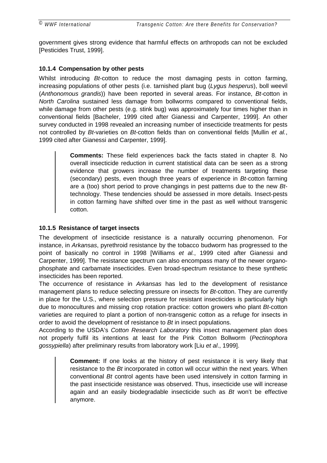<span id="page-29-0"></span>government gives strong evidence that harmful effects on arthropods can not be excluded [Pesticides Trust, 1999].

#### **10.1.4 Compensation by other pests**

Whilst introducing *Bt*-cotton to reduce the most damaging pests in cotton farming, increasing populations of other pests (i.e. tarnished plant bug (*Lygus hesperus*), boll weevil (*Anthonomous grandis*)) have been reported in several areas. For instance, *Bt-*cotton in *North Carolina* sustained less damage from bollworms compared to conventional fields, while damage from other pests (e.g. stink bug) was approximately four times higher than in conventional fields [Bacheler, 1999 cited after Gianessi and Carpenter, 1999]. An other survey conducted in 1998 revealed an increasing number of insecticide treatments for pests not controlled by *Bt*-varieties on *Bt*-cotton fields than on conventional fields [Mullin *et al.*, 1999 cited after Gianessi and Carpenter, 1999].

> **Comments:** These field experiences back the facts stated in chapter [8.](#page-24-0) No overall insecticide reduction in current statistical data can be seen as a strong evidence that growers increase the number of treatments targeting these (secondary) pests, even though three years of experience in *Bt*-cotton farming are a (too) short period to prove changings in pest patterns due to the new *Bt*technology. These tendencies should be assessed in more details. Insect-pests in cotton farming have shifted over time in the past as well without transgenic cotton.

#### **10.1.5 Resistance of target insects**

The development of insecticide resistance is a naturally occurring phenomenon. For instance, in *Arkansas*, pyrethroid resistance by the tobacco budworm has progressed to the point of basically no control in 1998 [Williams *et al.*, 1999 cited after Gianessi and Carpenter, 1999]. The resistance spectrum can also encompass many of the newer organophosphate and carbamate insecticides. Even broad-spectrum resistance to these synthetic insecticides has been reported.

The occurrence of resistance in *Arkansas* has led to the development of resistance management plans to reduce selecting pressure on insects for *Bt*-cotton. They are currently in place for the U.S., where selection pressure for resistant insecticides is particularly high due to monocultures and missing crop rotation practice: cotton growers who plant *Bt*-cotton varieties are required to plant a portion of non-transgenic cotton as a refuge for insects in order to avoid the development of resistance to *Bt* in insect populations.

According to the USDA's *Cotton Research Laboratory* this insect management plan does not properly fulfil its intentions at least for the Pink Cotton Bollworm (*Pectinophora gossypiella*) after preliminary results from laboratory work [Liu *et al*., 1999].

> **Comment:** If one looks at the history of pest resistance it is very likely that resistance to the *Bt* incorporated in cotton will occur within the next years. When conventional *Bt* control agents have been used intensively in cotton farming in the past insecticide resistance was observed. Thus, insecticide use will increase again and an easily biodegradable insecticide such as *Bt* won't be effective anymore.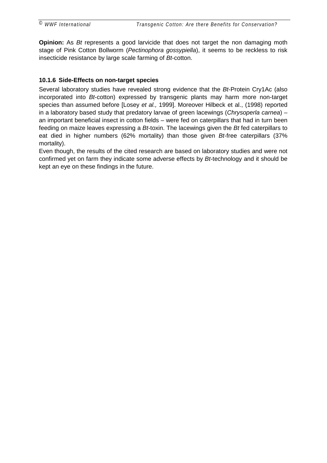<span id="page-30-0"></span>**Opinion:** As *Bt* represents a good larvicide that does not target the non damaging moth stage of Pink Cotton Bollworm (*Pectinophora gossypiella*), it seems to be reckless to risk insecticide resistance by large scale farming of *Bt*-cotton.

#### **10.1.6 Side-Effects on non-target species**

Several laboratory studies have revealed strong evidence that the *Bt*-Protein Cry1Ac (also incorporated into *Bt*-cotton) expressed by transgenic plants may harm more non-target species than assumed before [Losey *et al.,* 1999]. Moreover Hilbeck et al., (1998) reported in a laboratory based study that predatory larvae of green lacewings (*Chrysoperla carnea*) – an important beneficial insect in cotton fields – were fed on caterpillars that had in turn been feeding on maize leaves expressing a *Bt*-toxin. The lacewings given the *Bt* fed caterpillars to eat died in higher numbers (62% mortality) than those given *Bt-*free caterpillars (37% mortality).

Even though, the results of the cited research are based on laboratory studies and were not confirmed yet on farm they indicate some adverse effects by *Bt*-technology and it should be kept an eye on these findings in the future.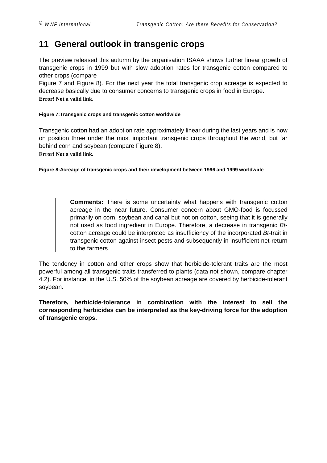# <span id="page-31-0"></span>**11 General outlook in transgenic crops**

The preview released this autumn by the organisation ISAAA shows further linear growth of transgenic crops in 1999 but with slow adoption rates for transgenic cotton compared to other crops (compare

Figure 7 and Figure 8). For the next year the total transgenic crop acreage is expected to decrease basically due to consumer concerns to transgenic crops in food in Europe. **Error! Not a valid link.**

#### **Figure 7:Transgenic crops and transgenic cotton worldwide**

Transgenic cotton had an adoption rate approximately linear during the last years and is now on position three under the most important transgenic crops throughout the world, but far behind corn and soybean (compare Figure 8). **Error! Not a valid link.**

**Figure 8:Acreage of transgenic crops and their development between 1996 and 1999 worldwide**

**Comments:** There is some uncertainty what happens with transgenic cotton acreage in the near future. Consumer concern about GMO-food is focussed primarily on corn, soybean and canal but not on cotton, seeing that it is generally not used as food ingredient in Europe. Therefore, a decrease in transgenic *Bt*cotton acreage could be interpreted as insufficiency of the incorporated *Bt*-trait in transgenic cotton against insect pests and subsequently in insufficient net-return to the farmers.

The tendency in cotton and other crops show that herbicide-tolerant traits are the most powerful among all transgenic traits transferred to plants (data not shown, compare chapter [4.2\)](#page-15-0). For instance, in the U.S. 50% of the soybean acreage are covered by herbicide-tolerant soybean.

**Therefore, herbicide-tolerance in combination with the interest to sell the corresponding herbicides can be interpreted as the key-driving force for the adoption of transgenic crops.**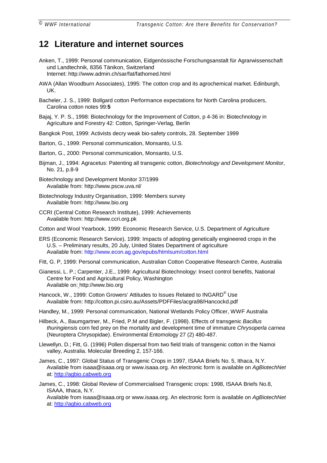### <span id="page-32-0"></span>**12 Literature and internet sources**

- Anken, T., 1999: Personal communication, Eidgenössische Forschungsanstalt für Agrarwissenschaft und Landtechnik, 8356 Tänikon, Switzerland Internet: http://www.admin.ch/sar/fat/fathomed.html
- AWA (Allan Woodburn Associates), 1995: The cotton crop and its agrochemical market. Edinburgh, UK.
- Bacheler, J. S., 1999: Bollgard cotton Performance expectations for North Carolina producers, Carolina cotton notes 99:**5**
- Bajaj, Y. P. S., 1998: Biotechnology for the Improvement of Cotton, p 4-36 in: Biotechnology in Agriculture and Forestry 42: Cotton, Springer-Verlag, Berlin
- Bangkok Post, 1999: Activists decry weak bio-safety controls, 28. September 1999
- Barton, G., 1999: Personal communication, Monsanto, U.S.
- Barton, G., 2000: Personal communication, Monsanto, U.S.
- Bijman, J., 1994: Agracetus: Patenting all transgenic cotton, *Biotechnology and Development Monitor*, No. 21, p.8-9
- Biotechnology and Development Monitor 37/1999 Available from: <http://www.pscw.uva.nl/>
- Biotechnology Industry Organisation, 1999: Members survey Available from: http://www.bio.org
- CCRI (Central Cotton Research Institute), 1999: Achievements Available from: http://www.ccri.org.pk
- Cotton and Wool Yearbook, 1999: Economic Research Service, U.S. Department of Agriculture
- ERS (Economic Research Service), 1999: Impacts of adopting genetically engineered crops in the U.S. – Preliminary results, 20 July, United States Department of agriculture Available from: http://www.econ.ag.gov/epubs/htmlsum/cotton.html
- Fitt, G. P, 1999: Personal communication, Australian Cotton Cooperative Research Centre, Australia
- Gianessi, L. P.; Carpenter, J.E., 1999: Agricultural Biotechnology: Insect control benefits, National Centre for Food and Agricultural Policy, Washington Available on: http://www.bio.org
- Hancock, W., 1999: Cotton Growers' Attitudes to Issues Related to INGARD® Use Available from: http://cotton.pi.csiro.au/Assets/PDFFiles/acgra98/Hancockd.pdf
- Handley, M., 1999: Personal communication, National Wetlands Policy Officer, WWF Australia
- Hilbeck, A., Baumgartner, M., Fried, P.M and Bigler, F. (1998). Effects of transgenic *Bacillus thuringiensis* corn fed prey on the mortality and development time of immature *Chrysoperla carnea* (Neuroptera Chrysopidae). Environmental Entomology 27 (2) 480-487.
- Llewellyn, D.; Fitt, G. (1996) Pollen dispersal from two field trials of transgenic cotton in the Namoi valley, Australia. Molecular Breeding 2, 157-166.
- James, C., 1997: Global Status of Transgenic Crops in 1997, ISAAA Briefs No. 5, Ithaca, N.Y. Available from isaaa@isaaa.org or www.isaaa.org. An electronic form is available on *AgBiotechNet* at: [http://agbio.cabweb.org](http://agbio.cabweb.org/)
- James, C., 1998: Global Review of Commercialised Transgenic crops: 1998, ISAAA Briefs No.8, ISAAA, Ithaca, N.Y. Available from isaaa@isaaa.org or www.isaaa.org. An electronic form is available on *AgBiotechNet* at: [http://agbio.cabweb.org](http://agbio.cabweb.org/)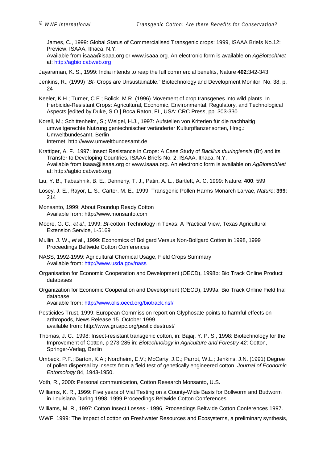James, C., 1999: Global Status of Commercialised Transgenic crops: 1999, ISAAA Briefs No.12: Preview, ISAAA, Ithaca, N.Y.

Available from isaaa@isaaa.org or www.isaaa.org. An electronic form is available on *AgBiotechNet* at: [http://agbio.cabweb.org](http://agbio.cabweb.org/)

Jayaraman, K. S., 1999: India intends to reap the full commercial benefits, Nature **402**:342-343

- Jenkins, R., (1999) "*Bt-* Crops are Unsustainable." Biotechnology and Development Monitor, No. 38, p. 24
- Keeler, K.H.; Turner, C.E.; Bolick, M.R. (1996) Movement of crop transgenes into wild plants. In Herbicide-Resistant Crops: Agricultural, Economic, Environmental, Regulatory, and Technological Aspects [edited by Duke, S.O.] Boca Raton, FL, USA: CRC Press, pp. 303-330.
- Korell, M.; Schittenhelm, S.; Weigel, H.J., 1997: Aufstellen von Kriterien für die nachhaltig umweltgerechte Nutzung gentechnischer veränderter Kulturpflanzensorten, Hrsg.: Umweltbundesamt, Berlin Internet: [http://www.umweltbundesamt.de](http://www.umweltbundesamt.de/)
- Krattiger, A. F., 1997: Insect Resistance in Crops: A Case Study of *Bacillus thuringiensis* (Bt) and its Transfer to Developing Countries, ISAAA Briefs No. 2, ISAAA, Ithaca, N.Y. Available from isaaa@isaaa.org or www.isaaa.org. An electronic form is available on *AgBiotechNet* at: http://agbio.cabweb.org
- Liu, Y. B., Tabashnik, B. E., Dennehy, T. J., Patin, A. L., Bartlett, A. C. 1999: Nature: **400**: 599
- Losey, J. E., Rayor, L. S., Carter, M. E., 1999: Transgenic Pollen Harms Monarch Larvae, *Nature*: **399**: 214
- Monsanto, 1999: About Roundup Ready Cotton Available from: http://www.monsanto.com
- Moore, G. C., *et al.*, 1999: *Bt*-cotton Technology in Texas: A Practical View, Texas Agricultural Extension Service, L-5169
- Mullin, J. W., *et* al., 1999: Economics of Bollgard Versus Non-Bollgard Cotton in 1998, 1999 Proceedings Beltwide Cotton Conferences
- NASS, 1992-1999: Agricultural Chemical Usage, Field Crops Summary Available from: <http://www.usda.gov/nass>
- Organisation for Economic Cooperation and Development (OECD), 1998b: Bio Track Online Product databases
- Organization for Economic Cooperation and Development (OECD), 1999a: Bio Track Online Field trial database Available from: <http://www.olis.oecd.org/biotrack.nsf/>
- Pesticides Trust, 1999: European Commission report on Glyphosate points to harmful effects on arthropods, News Release 15. October 1999 available from: http://www.gn.apc.org/pesticidestrust/
- Thomas, J. C., 1998: Insect-resistant transgenic cotton, in: Bajaj, Y. P. S., 1998: Biotechnology for the Improvement of Cotton, p 273-285 in: *Biotechnology in Agriculture and Forestry 42*: Cotton, Springer-Verlag, Berlin
- Umbeck, P.F.; Barton, K.A.; Nordheim, E.V.; McCarty, J.C.; Parrot, W.L.; Jenkins, J.N. (1991) Degree of pollen dispersal by insects from a field test of genetically engineered cotton. *Journal of Economic Entomology* 84, 1943-1950.
- Voth, R., 2000: Personal communication, Cotton Research Monsanto, U.S.
- Williams, K. R., 1999: Five years of Vial Testing on a County-Wide Basis for Bollworm and Budworm in Louisiana During 1998, 1999 Proceedings Beltwide Cotton Conferences
- Williams, M. R., 1997: Cotton Insect Losses 1996, Proceedings Beltwide Cotton Conferences 1997.
- WWF, 1999: The Impact of cotton on Freshwater Resources and Ecosystems, a preliminary synthesis,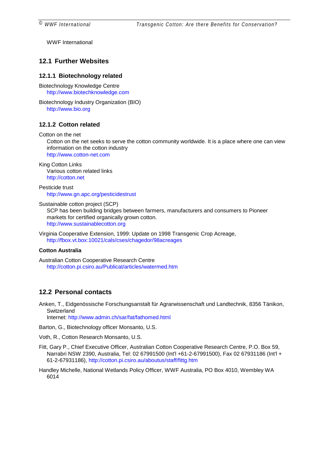<span id="page-34-0"></span>WWF International

#### **12.1 Further Websites**

#### **12.1.1 Biotechnology related**

Biotechnology Knowledge Centre [http://www.biotechknowledge.com](http://www.biotechknowledge.com/)

Biotechnology Industry Organization (BIO) [http://www.bio.org](http://www.bio.org/)

#### **12.1.2 Cotton related**

Cotton on the net

Cotton on the net seeks to serve the cotton community worldwide. It is a place where one can view information on the cotton industry

[http://www.cotton-net.com](http://www.cotton-net.com/)

King Cotton Links Various cotton related links [http://cotton.net](http://cotton.net/)

Pesticide trust <http://www.gn.apc.org/pesticidestrust>

Sustainable cotton project (SCP)

SCP has been building bridges between farmers, manufacturers and consumers to Pioneer markets for certified organically grown cotton. [http://www.sustainablecotton.org](http://www.sustainablecotton.org/)

Virginia Cooperative Extension, 1999: Update on 1998 Transgenic Crop Acreage, <http://fbox.vt.box:10021/cals/cses/chagedor/98acreages>

#### **Cotton Australia**

Australian Cotton Cooperative Research Centre <http://cotton.pi.csiro.au/Publicat/articles/watermed.htm>

#### **12.2 Personal contacts**

Anken, T., Eidgenössische Forschungsanstalt für Agrarwissenschaft und Landtechnik, 8356 Tänikon, **Switzerland** Internet: <http://www.admin.ch/sar/fat/fathomed.html>

Barton, G., Biotechnology officer Monsanto, U.S.

Voth, R., Cotton Research Monsanto, U.S.

Fitt, Gary P., Chief Executive Officer, Australian Cotton Cooperative Research Centre, P.O. Box 59, Narrabri NSW 2390, Australia, Tel: 02 67991500 (Int'l +61-2-67991500), Fax 02 67931186 (Int'l + 61-2-67931186),<http://cotton.pi.csiro.au/aboutus/staff/fittg.htm>

Handley Michelle, National Wetlands Policy Officer, WWF Australia, PO Box 4010, Wembley WA 6014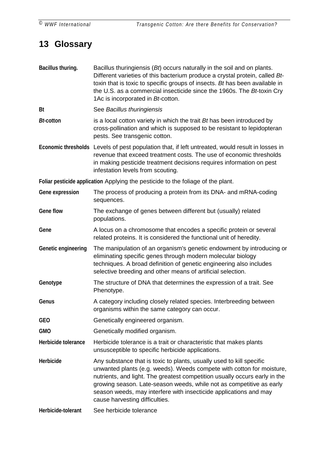# <span id="page-35-0"></span>**13 Glossary**

| Bacillus thuring.   | Bacillus thuringiensis $(Bt)$ occurs naturally in the soil and on plants.<br>Different varieties of this bacterium produce a crystal protein, called Bt-<br>toxin that is toxic to specific groups of insects. Bt has been available in<br>the U.S. as a commercial insecticide since the 1960s. The Bt-toxin Cry<br>1Ac is incorporated in Bt-cotton.                                                     |  |
|---------------------|------------------------------------------------------------------------------------------------------------------------------------------------------------------------------------------------------------------------------------------------------------------------------------------------------------------------------------------------------------------------------------------------------------|--|
| Bt                  | See Bacillus thuringiensis                                                                                                                                                                                                                                                                                                                                                                                 |  |
| <b>Bt-cotton</b>    | is a local cotton variety in which the trait Bt has been introduced by<br>cross-pollination and which is supposed to be resistant to lepidopteran<br>pests. See transgenic cotton.                                                                                                                                                                                                                         |  |
|                     | Economic thresholds Levels of pest population that, if left untreated, would result in losses in<br>revenue that exceed treatment costs. The use of economic thresholds<br>in making pesticide treatment decisions requires information on pest<br>infestation levels from scouting.                                                                                                                       |  |
|                     | Foliar pesticide application Applying the pesticide to the foliage of the plant.                                                                                                                                                                                                                                                                                                                           |  |
| Gene expression     | The process of producing a protein from its DNA- and mRNA-coding<br>sequences.                                                                                                                                                                                                                                                                                                                             |  |
| <b>Gene flow</b>    | The exchange of genes between different but (usually) related<br>populations.                                                                                                                                                                                                                                                                                                                              |  |
| Gene                | A locus on a chromosome that encodes a specific protein or several<br>related proteins. It is considered the functional unit of heredity.                                                                                                                                                                                                                                                                  |  |
| Genetic engineering | The manipulation of an organism's genetic endowment by introducing or<br>eliminating specific genes through modern molecular biology<br>techniques. A broad definition of genetic engineering also includes<br>selective breeding and other means of artificial selection.                                                                                                                                 |  |
| Genotype            | The structure of DNA that determines the expression of a trait. See<br>Phenotype.                                                                                                                                                                                                                                                                                                                          |  |
| Genus               | A category including closely related species. Interbreeding between<br>organisms within the same category can occur.                                                                                                                                                                                                                                                                                       |  |
| <b>GEO</b>          | Genetically engineered organism.                                                                                                                                                                                                                                                                                                                                                                           |  |
| <b>GMO</b>          | Genetically modified organism.                                                                                                                                                                                                                                                                                                                                                                             |  |
| Herbicide tolerance | Herbicide tolerance is a trait or characteristic that makes plants<br>unsusceptible to specific herbicide applications.                                                                                                                                                                                                                                                                                    |  |
| Herbicide           | Any substance that is toxic to plants, usually used to kill specific<br>unwanted plants (e.g. weeds). Weeds compete with cotton for moisture,<br>nutrients, and light. The greatest competition usually occurs early in the<br>growing season. Late-season weeds, while not as competitive as early<br>season weeds, may interfere with insecticide applications and may<br>cause harvesting difficulties. |  |
| Herbicide-tolerant  | See herbicide tolerance                                                                                                                                                                                                                                                                                                                                                                                    |  |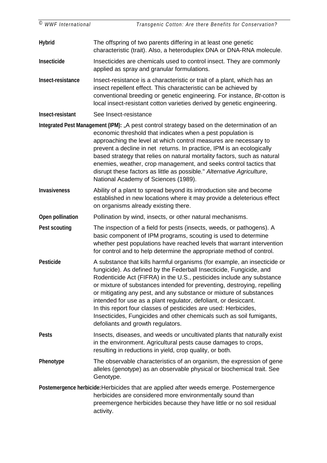| ©<br><b>WWF</b> International | Transgenic Cotton: Are there Benefits for Conservation?                                                                                                                                                                                                                                                                                                                                                                                                                                                                                                                                                                      |
|-------------------------------|------------------------------------------------------------------------------------------------------------------------------------------------------------------------------------------------------------------------------------------------------------------------------------------------------------------------------------------------------------------------------------------------------------------------------------------------------------------------------------------------------------------------------------------------------------------------------------------------------------------------------|
| <b>Hybrid</b>                 | The offspring of two parents differing in at least one genetic<br>characteristic (trait). Also, a heteroduplex DNA or DNA-RNA molecule.                                                                                                                                                                                                                                                                                                                                                                                                                                                                                      |
| <b>Insecticide</b>            | Insecticides are chemicals used to control insect. They are commonly<br>applied as spray and granular formulations.                                                                                                                                                                                                                                                                                                                                                                                                                                                                                                          |
| Insect-resistance             | Insect-resistance is a characteristic or trait of a plant, which has an<br>insect repellent effect. This characteristic can be achieved by<br>conventional breeding or genetic engineering. For instance, Bt-cotton is<br>local insect-resistant cotton varieties derived by genetic engineering.                                                                                                                                                                                                                                                                                                                            |
| Insect-resistant              | See Insect-resistance                                                                                                                                                                                                                                                                                                                                                                                                                                                                                                                                                                                                        |
|                               | Integrated Pest Management (IPM): "A pest control strategy based on the determination of an<br>economic threshold that indicates when a pest population is<br>approaching the level at which control measures are necessary to<br>prevent a decline in net returns. In practice, IPM is an ecologically<br>based strategy that relies on natural mortality factors, such as natural<br>enemies, weather, crop management, and seeks control tactics that<br>disrupt these factors as little as possible." Alternative Agriculture,<br>National Academy of Sciences (1989).                                                   |
| <b>Invasiveness</b>           | Ability of a plant to spread beyond its introduction site and become<br>established in new locations where it may provide a deleterious effect<br>on organisms already existing there.                                                                                                                                                                                                                                                                                                                                                                                                                                       |
| Open pollination              | Pollination by wind, insects, or other natural mechanisms.                                                                                                                                                                                                                                                                                                                                                                                                                                                                                                                                                                   |
| <b>Pest scouting</b>          | The inspection of a field for pests (insects, weeds, or pathogens). A<br>basic component of IPM programs, scouting is used to determine<br>whether pest populations have reached levels that warrant intervention<br>for control and to help determine the appropriate method of control.                                                                                                                                                                                                                                                                                                                                    |
| <b>Pesticide</b>              | A substance that kills harmful organisms (for example, an insecticide or<br>fungicide). As defined by the Federball Insecticide, Fungicide, and<br>Rodenticide Act (FIFRA) in the U.S., pesticides include any substance<br>or mixture of substances intended for preventing, destroying, repelling<br>or mitigating any pest, and any substance or mixture of substances<br>intended for use as a plant regulator, defoliant, or desiccant.<br>In this report four classes of pesticides are used: Herbicides,<br>Insecticides, Fungicides and other chemicals such as soil fumigants,<br>defoliants and growth regulators. |
| <b>Pests</b>                  | Insects, diseases, and weeds or uncultivated plants that naturally exist<br>in the environment. Agricultural pests cause damages to crops,<br>resulting in reductions in yield, crop quality, or both.                                                                                                                                                                                                                                                                                                                                                                                                                       |
| Phenotype                     | The observable characteristics of an organism, the expression of gene<br>alleles (genotype) as an observable physical or biochemical trait. See<br>Genotype.                                                                                                                                                                                                                                                                                                                                                                                                                                                                 |
|                               | Postemergence herbicide: Herbicides that are applied after weeds emerge. Postemergence<br>herbicides are considered more environmentally sound than<br>preemergence herbicides because they have little or no soil residual<br>activity.                                                                                                                                                                                                                                                                                                                                                                                     |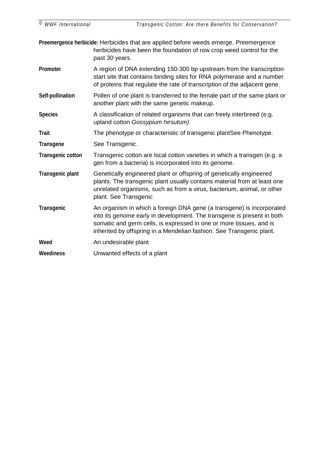**Preemergence herbicide:** Herbicides that are applied before weeds emerge. Preemergence herbicides have been the foundation of row crop weed control for the past 30 years.

**Promoter** A region of DNA extending 150-300 bp upstream from the transcription start site that contains binding sites for RNA polymerase and a number of proteins that regulate the rate of transcription of the adjacent gene.

- **Self-pollination** Pollen of one plant is transferred to the female part of the same plant or another plant with the same genetic makeup.
- Species **A** classification of related organisms that can freely interbreed (e.g. upland cotton *Gossypium hirsutum)*
- **Trait** The phenotype or characteristic of transgenic plantSee Phenotype.
- **Transgene** See Transgenic.
- **Transgenic cotton** Transgenic cotton are local cotton varieties in which a transgen (e.g. a gen from a bacteria) is incorporated into its genome.
- **Transgenic plant** Genetically engineered plant or offspring of genetically engineered plants. The transgenic plant usually contains material from at least one unrelated organisms, such as from a virus, bacterium, animal, or other plant. See Transgenic
- **Transgenic** An organism in which a foreign DNA gene (a transgene) is incorporated into its genome early in development. The transgene is present in both somatic and germ cells, is expressed in one or more tissues, and is inherited by offspring in a Mendelian fashion. See Transgenic plant.
- Weed **An undesirable plant**

**Weediness** Unwanted effects of a plant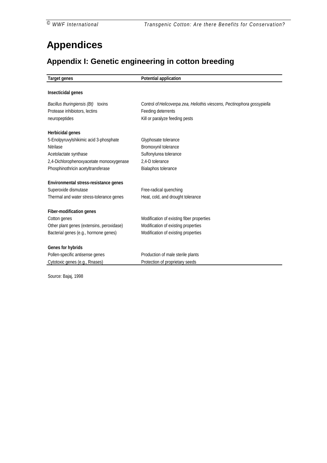# <span id="page-39-0"></span>**Appendices**

# **Appendix I: Genetic engineering in cotton breeding**

| <b>Target genes</b>                       | <b>Potential application</b>                                             |
|-------------------------------------------|--------------------------------------------------------------------------|
|                                           |                                                                          |
| Insecticidal genes                        |                                                                          |
| Bacillus thuringiensis (Bt) toxins        | Control of Helicoverpa zea, Heliothis viescens, Pectinophora gossypiella |
| Protease inhibiotors, lectins             | Feeding deterrents                                                       |
| neuropeptides                             | Kill or paralyze feeding pests                                           |
| Herbicidal genes                          |                                                                          |
| 5-Enolpyruvylshikimic acid 3-phosphate    | Glyphosate tolerance                                                     |
| Nitrilase                                 | Bromoxynil tolerance                                                     |
| Acetolactate synthase                     | Sulfonylurea tolerance                                                   |
| 2,4-Dichlorophenoxyacetate monooxygenase  | 2.4-D tolerance                                                          |
| Phosphinothricin acetyltransferase        | Bialaphos tolerance                                                      |
| Environmental stress-resistance genes     |                                                                          |
| Superoxide dismutase                      | Free-radical quenching                                                   |
| Thermal and water stress-tolerance genes  | Heat, cold, and drought tolerance                                        |
| <b>Fiber-modification genes</b>           |                                                                          |
| Cotton genes                              | Modification of existing fiber properties                                |
| Other plant genes (extensins, peroxidase) | Modification of existing properties                                      |
| Bacterial genes (e.g., hormone genes)     | Modification of existing properties                                      |
| Genes for hybrids                         |                                                                          |
| Pollen-specific antisense genes           | Production of male sterile plants                                        |
| Cytotoxic genes (e.g., Rnases)            | Protection of proprietary seeds                                          |

Source: Bajaj, 1998